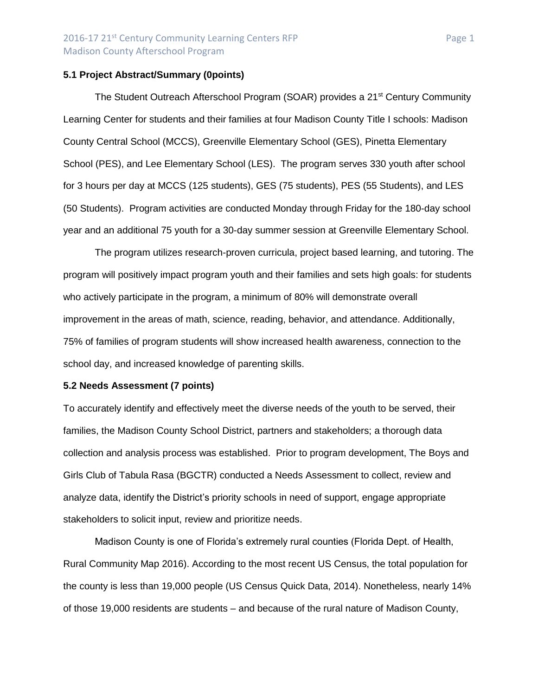### **5.1 Project Abstract/Summary (0points)**

The Student Outreach Afterschool Program (SOAR) provides a 21<sup>st</sup> Century Community Learning Center for students and their families at four Madison County Title I schools: Madison County Central School (MCCS), Greenville Elementary School (GES), Pinetta Elementary School (PES), and Lee Elementary School (LES). The program serves 330 youth after school for 3 hours per day at MCCS (125 students), GES (75 students), PES (55 Students), and LES (50 Students). Program activities are conducted Monday through Friday for the 180-day school year and an additional 75 youth for a 30-day summer session at Greenville Elementary School.

The program utilizes research-proven curricula, project based learning, and tutoring. The program will positively impact program youth and their families and sets high goals: for students who actively participate in the program, a minimum of 80% will demonstrate overall improvement in the areas of math, science, reading, behavior, and attendance. Additionally, 75% of families of program students will show increased health awareness, connection to the school day, and increased knowledge of parenting skills.

### **5.2 Needs Assessment (7 points)**

To accurately identify and effectively meet the diverse needs of the youth to be served, their families, the Madison County School District, partners and stakeholders; a thorough data collection and analysis process was established. Prior to program development, The Boys and Girls Club of Tabula Rasa (BGCTR) conducted a Needs Assessment to collect, review and analyze data, identify the District's priority schools in need of support, engage appropriate stakeholders to solicit input, review and prioritize needs.

Madison County is one of Florida's extremely rural counties (Florida Dept. of Health, Rural Community Map 2016). According to the most recent US Census, the total population for the county is less than 19,000 people (US Census Quick Data, 2014). Nonetheless, nearly 14% of those 19,000 residents are students – and because of the rural nature of Madison County,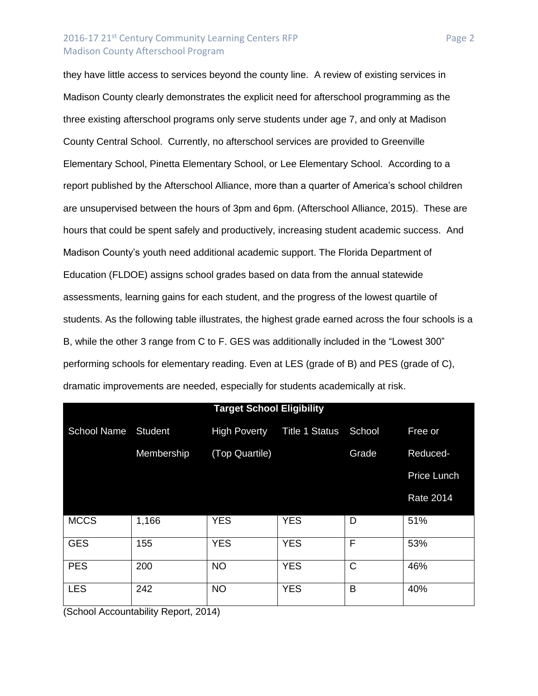### 2016-17 21<sup>st</sup> Century Community Learning Centers RFP Page 2 Madison County Afterschool Program

they have little access to services beyond the county line. A review of existing services in Madison County clearly demonstrates the explicit need for afterschool programming as the three existing afterschool programs only serve students under age 7, and only at Madison County Central School. Currently, no afterschool services are provided to Greenville Elementary School, Pinetta Elementary School, or Lee Elementary School. According to a report published by the Afterschool Alliance, more than a quarter of America's school children are unsupervised between the hours of 3pm and 6pm. (Afterschool Alliance, 2015). These are hours that could be spent safely and productively, increasing student academic success. And Madison County's youth need additional academic support. The Florida Department of Education (FLDOE) assigns school grades based on data from the annual statewide assessments, learning gains for each student, and the progress of the lowest quartile of students. As the following table illustrates, the highest grade earned across the four schools is a B, while the other 3 range from C to F. GES was additionally included in the "Lowest 300" performing schools for elementary reading. Even at LES (grade of B) and PES (grade of C), dramatic improvements are needed, especially for students academically at risk.

| <b>Target School Eligibility</b> |            |                     |                       |        |                    |
|----------------------------------|------------|---------------------|-----------------------|--------|--------------------|
| <b>School Name</b>               | Student    | <b>High Poverty</b> | <b>Title 1 Status</b> | School | Free or            |
|                                  | Membership | (Top Quartile)      |                       | Grade  | Reduced-           |
|                                  |            |                     |                       |        | <b>Price Lunch</b> |
|                                  |            |                     |                       |        | <b>Rate 2014</b>   |
| <b>MCCS</b>                      | 1,166      | <b>YES</b>          | <b>YES</b>            | D      | 51%                |
| <b>GES</b>                       | 155        | <b>YES</b>          | <b>YES</b>            | F      | 53%                |
| <b>PES</b>                       | 200        | <b>NO</b>           | <b>YES</b>            | C      | 46%                |
| <b>LES</b>                       | 242        | <b>NO</b>           | <b>YES</b>            | B      | 40%                |

(School Accountability Report, 2014)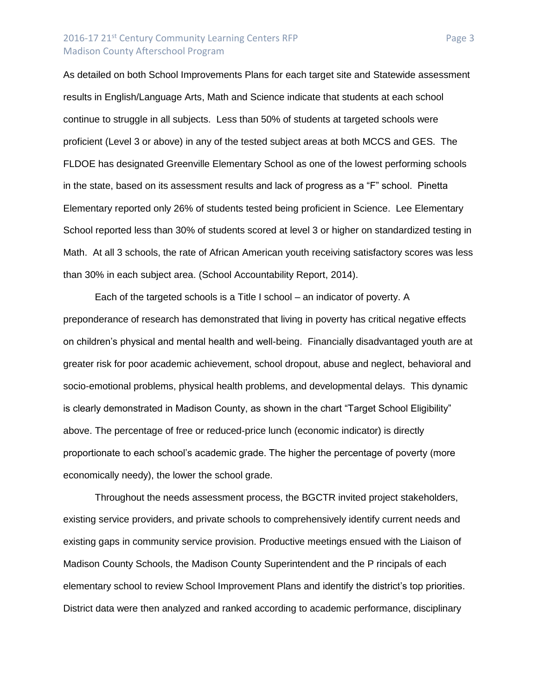## 2016-17 21<sup>st</sup> Century Community Learning Centers RFP Page 3 Madison County Afterschool Program

As detailed on both School Improvements Plans for each target site and Statewide assessment results in English/Language Arts, Math and Science indicate that students at each school continue to struggle in all subjects. Less than 50% of students at targeted schools were proficient (Level 3 or above) in any of the tested subject areas at both MCCS and GES. The FLDOE has designated Greenville Elementary School as one of the lowest performing schools in the state, based on its assessment results and lack of progress as a "F" school. Pinetta Elementary reported only 26% of students tested being proficient in Science. Lee Elementary School reported less than 30% of students scored at level 3 or higher on standardized testing in Math. At all 3 schools, the rate of African American youth receiving satisfactory scores was less than 30% in each subject area. (School Accountability Report, 2014).

Each of the targeted schools is a Title I school – an indicator of poverty. A preponderance of research has demonstrated that living in poverty has critical negative effects on children's physical and mental health and well-being. Financially disadvantaged youth are at greater risk for poor academic achievement, school dropout, abuse and neglect, behavioral and socio-emotional problems, physical health problems, and developmental delays. This dynamic is clearly demonstrated in Madison County, as shown in the chart "Target School Eligibility" above. The percentage of free or reduced-price lunch (economic indicator) is directly proportionate to each school's academic grade. The higher the percentage of poverty (more economically needy), the lower the school grade.

Throughout the needs assessment process, the BGCTR invited project stakeholders, existing service providers, and private schools to comprehensively identify current needs and existing gaps in community service provision. Productive meetings ensued with the Liaison of Madison County Schools, the Madison County Superintendent and the P rincipals of each elementary school to review School Improvement Plans and identify the district's top priorities. District data were then analyzed and ranked according to academic performance, disciplinary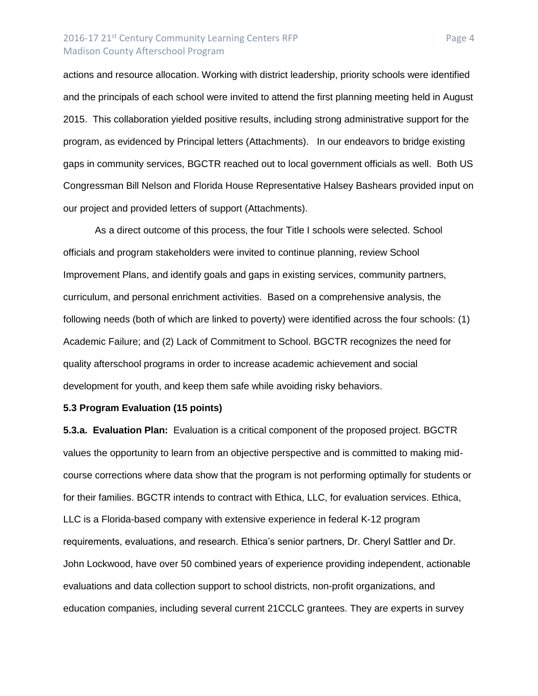### 2016-17 21<sup>st</sup> Century Community Learning Centers RFP Page 4 Madison County Afterschool Program

actions and resource allocation. Working with district leadership, priority schools were identified and the principals of each school were invited to attend the first planning meeting held in August 2015. This collaboration yielded positive results, including strong administrative support for the program, as evidenced by Principal letters (Attachments). In our endeavors to bridge existing gaps in community services, BGCTR reached out to local government officials as well. Both US Congressman Bill Nelson and Florida House Representative Halsey Bashears provided input on our project and provided letters of support (Attachments).

As a direct outcome of this process, the four Title I schools were selected. School officials and program stakeholders were invited to continue planning, review School Improvement Plans, and identify goals and gaps in existing services, community partners, curriculum, and personal enrichment activities. Based on a comprehensive analysis, the following needs (both of which are linked to poverty) were identified across the four schools: (1) Academic Failure; and (2) Lack of Commitment to School. BGCTR recognizes the need for quality afterschool programs in order to increase academic achievement and social development for youth, and keep them safe while avoiding risky behaviors.

#### **5.3 Program Evaluation (15 points)**

**5.3.a. Evaluation Plan:** Evaluation is a critical component of the proposed project. BGCTR values the opportunity to learn from an objective perspective and is committed to making midcourse corrections where data show that the program is not performing optimally for students or for their families. BGCTR intends to contract with Ethica, LLC, for evaluation services. Ethica, LLC is a Florida-based company with extensive experience in federal K-12 program requirements, evaluations, and research. Ethica's senior partners, Dr. Cheryl Sattler and Dr. John Lockwood, have over 50 combined years of experience providing independent, actionable evaluations and data collection support to school districts, non-profit organizations, and education companies, including several current 21CCLC grantees. They are experts in survey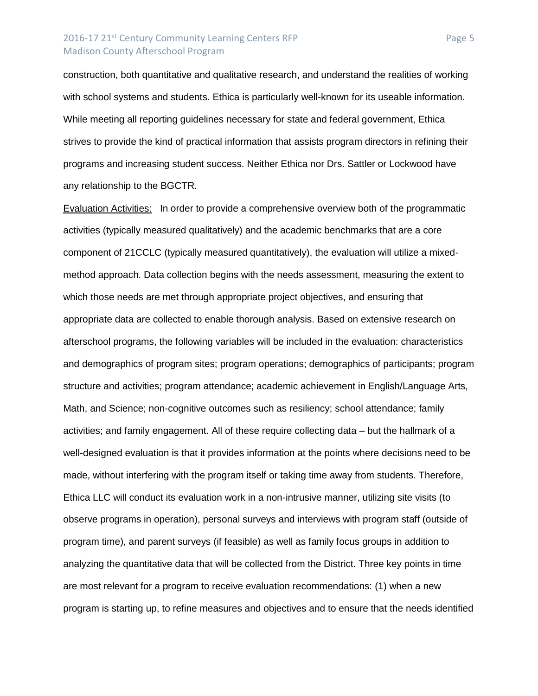### 2016-17 21<sup>st</sup> Century Community Learning Centers RFP Page 5 Madison County Afterschool Program

construction, both quantitative and qualitative research, and understand the realities of working with school systems and students. Ethica is particularly well-known for its useable information. While meeting all reporting guidelines necessary for state and federal government, Ethica strives to provide the kind of practical information that assists program directors in refining their programs and increasing student success. Neither Ethica nor Drs. Sattler or Lockwood have any relationship to the BGCTR.

Evaluation Activities: In order to provide a comprehensive overview both of the programmatic activities (typically measured qualitatively) and the academic benchmarks that are a core component of 21CCLC (typically measured quantitatively), the evaluation will utilize a mixedmethod approach. Data collection begins with the needs assessment, measuring the extent to which those needs are met through appropriate project objectives, and ensuring that appropriate data are collected to enable thorough analysis. Based on extensive research on afterschool programs, the following variables will be included in the evaluation: characteristics and demographics of program sites; program operations; demographics of participants; program structure and activities; program attendance; academic achievement in English/Language Arts, Math, and Science; non-cognitive outcomes such as resiliency; school attendance; family activities; and family engagement. All of these require collecting data – but the hallmark of a well-designed evaluation is that it provides information at the points where decisions need to be made, without interfering with the program itself or taking time away from students. Therefore, Ethica LLC will conduct its evaluation work in a non-intrusive manner, utilizing site visits (to observe programs in operation), personal surveys and interviews with program staff (outside of program time), and parent surveys (if feasible) as well as family focus groups in addition to analyzing the quantitative data that will be collected from the District. Three key points in time are most relevant for a program to receive evaluation recommendations: (1) when a new program is starting up, to refine measures and objectives and to ensure that the needs identified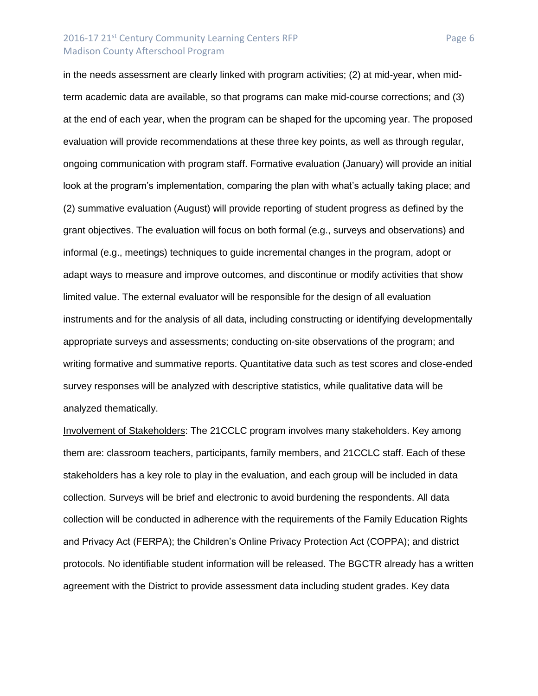### 2016-17 21<sup>st</sup> Century Community Learning Centers RFP Page 6 Madison County Afterschool Program

in the needs assessment are clearly linked with program activities; (2) at mid-year, when midterm academic data are available, so that programs can make mid-course corrections; and (3) at the end of each year, when the program can be shaped for the upcoming year. The proposed evaluation will provide recommendations at these three key points, as well as through regular, ongoing communication with program staff. Formative evaluation (January) will provide an initial look at the program's implementation, comparing the plan with what's actually taking place; and (2) summative evaluation (August) will provide reporting of student progress as defined by the grant objectives. The evaluation will focus on both formal (e.g., surveys and observations) and informal (e.g., meetings) techniques to guide incremental changes in the program, adopt or adapt ways to measure and improve outcomes, and discontinue or modify activities that show limited value. The external evaluator will be responsible for the design of all evaluation instruments and for the analysis of all data, including constructing or identifying developmentally appropriate surveys and assessments; conducting on-site observations of the program; and writing formative and summative reports. Quantitative data such as test scores and close-ended survey responses will be analyzed with descriptive statistics, while qualitative data will be analyzed thematically.

Involvement of Stakeholders: The 21CCLC program involves many stakeholders. Key among them are: classroom teachers, participants, family members, and 21CCLC staff. Each of these stakeholders has a key role to play in the evaluation, and each group will be included in data collection. Surveys will be brief and electronic to avoid burdening the respondents. All data collection will be conducted in adherence with the requirements of the Family Education Rights and Privacy Act (FERPA); the Children's Online Privacy Protection Act (COPPA); and district protocols. No identifiable student information will be released. The BGCTR already has a written agreement with the District to provide assessment data including student grades. Key data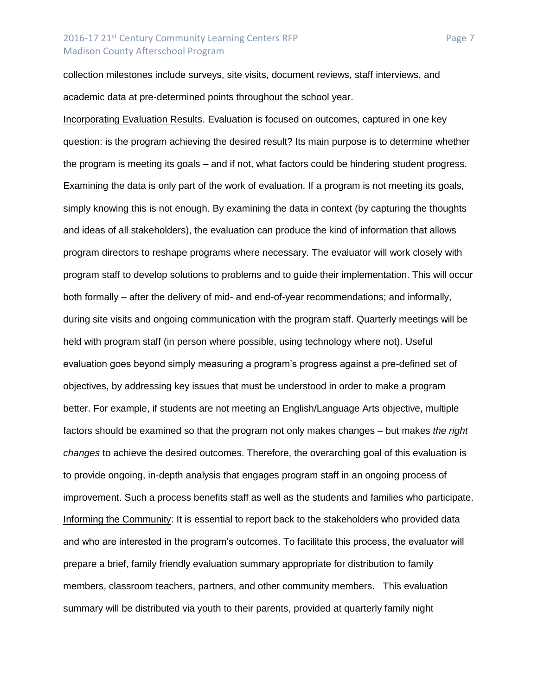# 2016-17 21<sup>st</sup> Century Community Learning Centers RFP Page 7 Madison County Afterschool Program

collection milestones include surveys, site visits, document reviews, staff interviews, and academic data at pre-determined points throughout the school year.

Incorporating Evaluation Results. Evaluation is focused on outcomes, captured in one key question: is the program achieving the desired result? Its main purpose is to determine whether the program is meeting its goals – and if not, what factors could be hindering student progress. Examining the data is only part of the work of evaluation. If a program is not meeting its goals, simply knowing this is not enough. By examining the data in context (by capturing the thoughts and ideas of all stakeholders), the evaluation can produce the kind of information that allows program directors to reshape programs where necessary. The evaluator will work closely with program staff to develop solutions to problems and to guide their implementation. This will occur both formally – after the delivery of mid- and end-of-year recommendations; and informally, during site visits and ongoing communication with the program staff. Quarterly meetings will be held with program staff (in person where possible, using technology where not). Useful evaluation goes beyond simply measuring a program's progress against a pre-defined set of objectives, by addressing key issues that must be understood in order to make a program better. For example, if students are not meeting an English/Language Arts objective, multiple factors should be examined so that the program not only makes changes – but makes *the right changes* to achieve the desired outcomes. Therefore, the overarching goal of this evaluation is to provide ongoing, in-depth analysis that engages program staff in an ongoing process of improvement. Such a process benefits staff as well as the students and families who participate. Informing the Community: It is essential to report back to the stakeholders who provided data and who are interested in the program's outcomes. To facilitate this process, the evaluator will prepare a brief, family friendly evaluation summary appropriate for distribution to family members, classroom teachers, partners, and other community members. This evaluation summary will be distributed via youth to their parents, provided at quarterly family night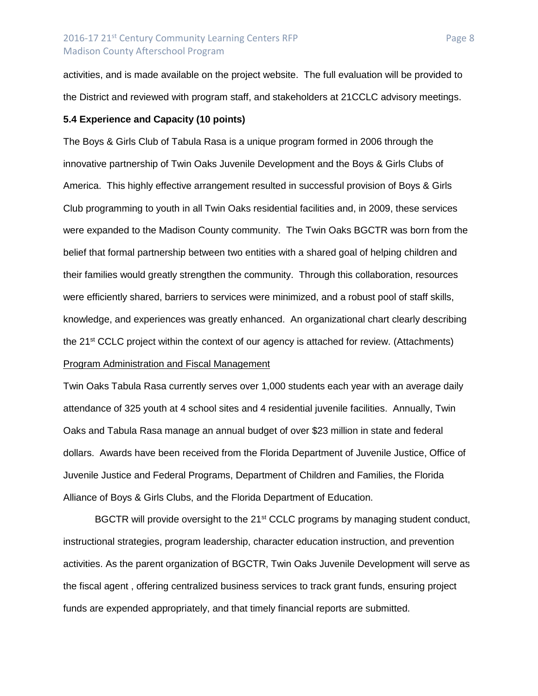activities, and is made available on the project website. The full evaluation will be provided to the District and reviewed with program staff, and stakeholders at 21CCLC advisory meetings.

### **5.4 Experience and Capacity (10 points)**

The Boys & Girls Club of Tabula Rasa is a unique program formed in 2006 through the innovative partnership of Twin Oaks Juvenile Development and the Boys & Girls Clubs of America. This highly effective arrangement resulted in successful provision of Boys & Girls Club programming to youth in all Twin Oaks residential facilities and, in 2009, these services were expanded to the Madison County community. The Twin Oaks BGCTR was born from the belief that formal partnership between two entities with a shared goal of helping children and their families would greatly strengthen the community. Through this collaboration, resources were efficiently shared, barriers to services were minimized, and a robust pool of staff skills, knowledge, and experiences was greatly enhanced. An organizational chart clearly describing the 21<sup>st</sup> CCLC project within the context of our agency is attached for review. (Attachments) Program Administration and Fiscal Management

Twin Oaks Tabula Rasa currently serves over 1,000 students each year with an average daily attendance of 325 youth at 4 school sites and 4 residential juvenile facilities. Annually, Twin Oaks and Tabula Rasa manage an annual budget of over \$23 million in state and federal dollars. Awards have been received from the Florida Department of Juvenile Justice, Office of Juvenile Justice and Federal Programs, Department of Children and Families, the Florida Alliance of Boys & Girls Clubs, and the Florida Department of Education.

BGCTR will provide oversight to the 21<sup>st</sup> CCLC programs by managing student conduct, instructional strategies, program leadership, character education instruction, and prevention activities. As the parent organization of BGCTR, Twin Oaks Juvenile Development will serve as the fiscal agent , offering centralized business services to track grant funds, ensuring project funds are expended appropriately, and that timely financial reports are submitted.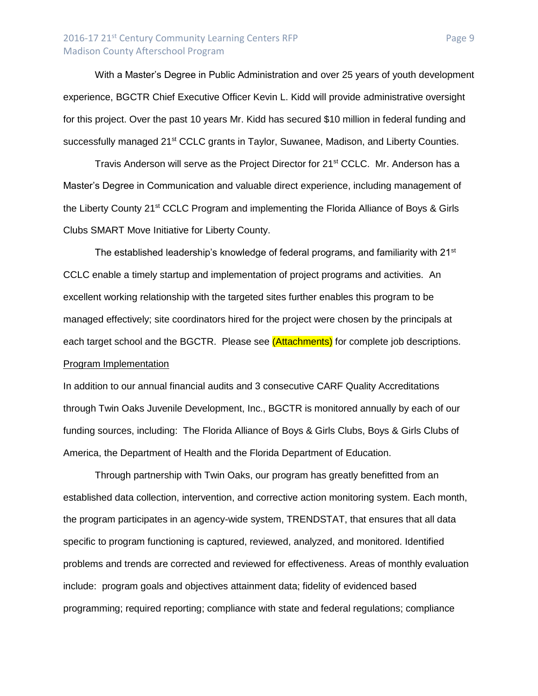# 2016-17 21<sup>st</sup> Century Community Learning Centers RFP Page 9 Madison County Afterschool Program

With a Master's Degree in Public Administration and over 25 years of youth development experience, BGCTR Chief Executive Officer Kevin L. Kidd will provide administrative oversight for this project. Over the past 10 years Mr. Kidd has secured \$10 million in federal funding and successfully managed 21<sup>st</sup> CCLC grants in Taylor, Suwanee, Madison, and Liberty Counties.

Travis Anderson will serve as the Project Director for 21<sup>st</sup> CCLC. Mr. Anderson has a Master's Degree in Communication and valuable direct experience, including management of the Liberty County 21<sup>st</sup> CCLC Program and implementing the Florida Alliance of Boys & Girls Clubs SMART Move Initiative for Liberty County.

The established leadership's knowledge of federal programs, and familiarity with  $21<sup>st</sup>$ CCLC enable a timely startup and implementation of project programs and activities. An excellent working relationship with the targeted sites further enables this program to be managed effectively; site coordinators hired for the project were chosen by the principals at each target school and the BGCTR. Please see (Attachments) for complete job descriptions. Program Implementation

In addition to our annual financial audits and 3 consecutive CARF Quality Accreditations through Twin Oaks Juvenile Development, Inc., BGCTR is monitored annually by each of our funding sources, including: The Florida Alliance of Boys & Girls Clubs, Boys & Girls Clubs of America, the Department of Health and the Florida Department of Education.

Through partnership with Twin Oaks, our program has greatly benefitted from an established data collection, intervention, and corrective action monitoring system. Each month, the program participates in an agency-wide system, TRENDSTAT, that ensures that all data specific to program functioning is captured, reviewed, analyzed, and monitored. Identified problems and trends are corrected and reviewed for effectiveness. Areas of monthly evaluation include: program goals and objectives attainment data; fidelity of evidenced based programming; required reporting; compliance with state and federal regulations; compliance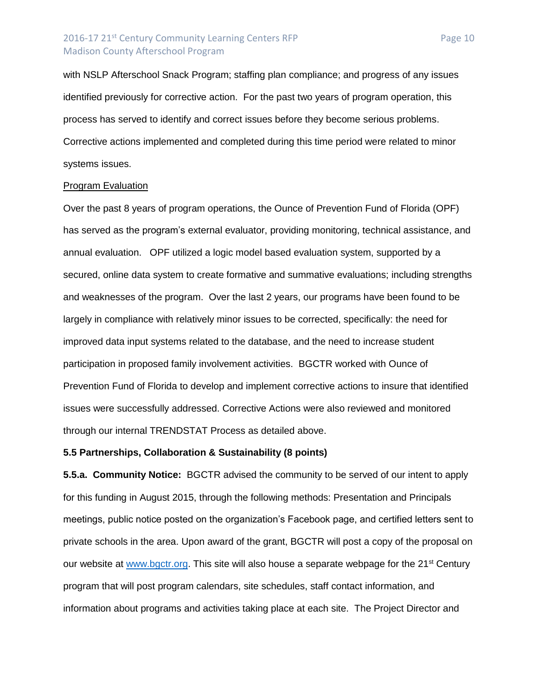### 2016-17 21<sup>st</sup> Century Community Learning Centers RFP Page 10 Madison County Afterschool Program

with NSLP Afterschool Snack Program; staffing plan compliance; and progress of any issues identified previously for corrective action. For the past two years of program operation, this process has served to identify and correct issues before they become serious problems. Corrective actions implemented and completed during this time period were related to minor systems issues.

#### Program Evaluation

Over the past 8 years of program operations, the Ounce of Prevention Fund of Florida (OPF) has served as the program's external evaluator, providing monitoring, technical assistance, and annual evaluation. OPF utilized a logic model based evaluation system, supported by a secured, online data system to create formative and summative evaluations; including strengths and weaknesses of the program. Over the last 2 years, our programs have been found to be largely in compliance with relatively minor issues to be corrected, specifically: the need for improved data input systems related to the database, and the need to increase student participation in proposed family involvement activities. BGCTR worked with Ounce of Prevention Fund of Florida to develop and implement corrective actions to insure that identified issues were successfully addressed. Corrective Actions were also reviewed and monitored through our internal TRENDSTAT Process as detailed above.

### **5.5 Partnerships, Collaboration & Sustainability (8 points)**

**5.5.a. Community Notice:** BGCTR advised the community to be served of our intent to apply for this funding in August 2015, through the following methods: Presentation and Principals meetings, public notice posted on the organization's Facebook page, and certified letters sent to private schools in the area. Upon award of the grant, BGCTR will post a copy of the proposal on our website at [www.bgctr.org.](http://www.bgctr.org/) This site will also house a separate webpage for the 21<sup>st</sup> Century program that will post program calendars, site schedules, staff contact information, and information about programs and activities taking place at each site. The Project Director and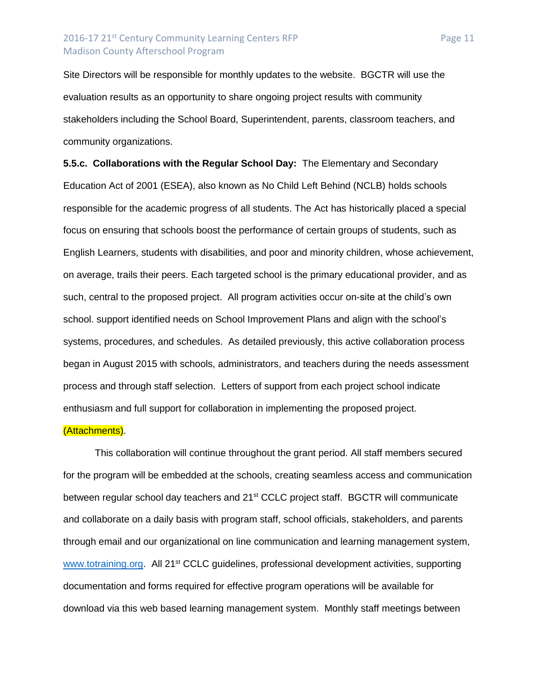## 2016-17 21<sup>st</sup> Century Community Learning Centers RFP Page 11 Madison County Afterschool Program

Site Directors will be responsible for monthly updates to the website. BGCTR will use the evaluation results as an opportunity to share ongoing project results with community stakeholders including the School Board, Superintendent, parents, classroom teachers, and community organizations.

**5.5.c. Collaborations with the Regular School Day:** The Elementary and Secondary Education Act of 2001 (ESEA), also known as No Child Left Behind (NCLB) holds schools responsible for the academic progress of all students. The Act has historically placed a special focus on ensuring that schools boost the performance of certain groups of students, such as English Learners, students with disabilities, and poor and minority children, whose achievement, on average, trails their peers. Each targeted school is the primary educational provider, and as such, central to the proposed project. All program activities occur on-site at the child's own school. support identified needs on School Improvement Plans and align with the school's systems, procedures, and schedules. As detailed previously, this active collaboration process began in August 2015 with schools, administrators, and teachers during the needs assessment process and through staff selection. Letters of support from each project school indicate enthusiasm and full support for collaboration in implementing the proposed project.

#### (Attachments).

This collaboration will continue throughout the grant period. All staff members secured for the program will be embedded at the schools, creating seamless access and communication between regular school day teachers and 21<sup>st</sup> CCLC project staff. BGCTR will communicate and collaborate on a daily basis with program staff, school officials, stakeholders, and parents through email and our organizational on line communication and learning management system, [www.totraining.org.](http://www.totraining.org/) All 21<sup>st</sup> CCLC guidelines, professional development activities, supporting documentation and forms required for effective program operations will be available for download via this web based learning management system. Monthly staff meetings between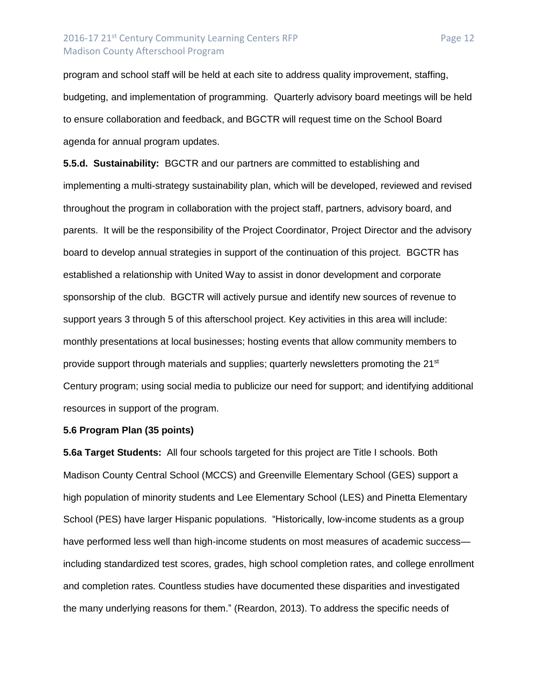# 2016-17 21<sup>st</sup> Century Community Learning Centers RFP Page 12 Madison County Afterschool Program

program and school staff will be held at each site to address quality improvement, staffing, budgeting, and implementation of programming. Quarterly advisory board meetings will be held to ensure collaboration and feedback, and BGCTR will request time on the School Board agenda for annual program updates.

**5.5.d. Sustainability:** BGCTR and our partners are committed to establishing and implementing a multi-strategy sustainability plan, which will be developed, reviewed and revised throughout the program in collaboration with the project staff, partners, advisory board, and parents. It will be the responsibility of the Project Coordinator, Project Director and the advisory board to develop annual strategies in support of the continuation of this project. BGCTR has established a relationship with United Way to assist in donor development and corporate sponsorship of the club. BGCTR will actively pursue and identify new sources of revenue to support years 3 through 5 of this afterschool project. Key activities in this area will include: monthly presentations at local businesses; hosting events that allow community members to provide support through materials and supplies; quarterly newsletters promoting the 21<sup>st</sup> Century program; using social media to publicize our need for support; and identifying additional resources in support of the program.

#### **5.6 Program Plan (35 points)**

**5.6a Target Students:** All four schools targeted for this project are Title I schools. Both Madison County Central School (MCCS) and Greenville Elementary School (GES) support a high population of minority students and Lee Elementary School (LES) and Pinetta Elementary School (PES) have larger Hispanic populations. "Historically, low-income students as a group have performed less well than high-income students on most measures of academic successincluding standardized test scores, grades, high school completion rates, and college enrollment and completion rates. Countless studies have documented these disparities and investigated the many underlying reasons for them." (Reardon, 2013). To address the specific needs of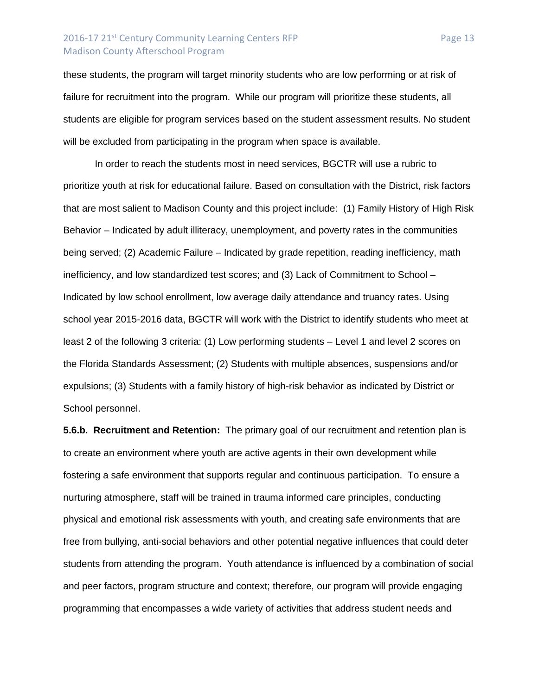# 2016-17 21<sup>st</sup> Century Community Learning Centers RFP Page 13 Madison County Afterschool Program

these students, the program will target minority students who are low performing or at risk of failure for recruitment into the program. While our program will prioritize these students, all students are eligible for program services based on the student assessment results. No student will be excluded from participating in the program when space is available.

In order to reach the students most in need services, BGCTR will use a rubric to prioritize youth at risk for educational failure. Based on consultation with the District, risk factors that are most salient to Madison County and this project include: (1) Family History of High Risk Behavior – Indicated by adult illiteracy, unemployment, and poverty rates in the communities being served; (2) Academic Failure – Indicated by grade repetition, reading inefficiency, math inefficiency, and low standardized test scores; and (3) Lack of Commitment to School – Indicated by low school enrollment, low average daily attendance and truancy rates. Using school year 2015-2016 data, BGCTR will work with the District to identify students who meet at least 2 of the following 3 criteria: (1) Low performing students – Level 1 and level 2 scores on the Florida Standards Assessment; (2) Students with multiple absences, suspensions and/or expulsions; (3) Students with a family history of high-risk behavior as indicated by District or School personnel.

**5.6.b. Recruitment and Retention:** The primary goal of our recruitment and retention plan is to create an environment where youth are active agents in their own development while fostering a safe environment that supports regular and continuous participation. To ensure a nurturing atmosphere, staff will be trained in trauma informed care principles, conducting physical and emotional risk assessments with youth, and creating safe environments that are free from bullying, anti-social behaviors and other potential negative influences that could deter students from attending the program. Youth attendance is influenced by a combination of social and peer factors, program structure and context; therefore, our program will provide engaging programming that encompasses a wide variety of activities that address student needs and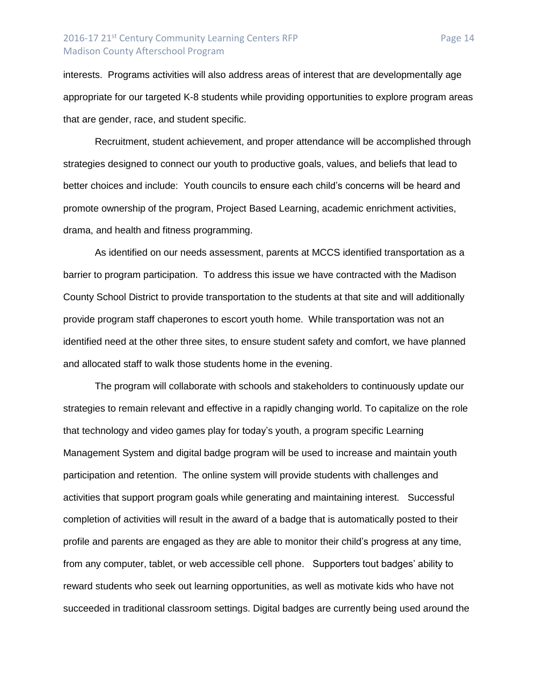## 2016-17 21<sup>st</sup> Century Community Learning Centers RFP Page 14 Madison County Afterschool Program

interests. Programs activities will also address areas of interest that are developmentally age appropriate for our targeted K-8 students while providing opportunities to explore program areas that are gender, race, and student specific.

Recruitment, student achievement, and proper attendance will be accomplished through strategies designed to connect our youth to productive goals, values, and beliefs that lead to better choices and include: Youth councils to ensure each child's concerns will be heard and promote ownership of the program, Project Based Learning, academic enrichment activities, drama, and health and fitness programming.

As identified on our needs assessment, parents at MCCS identified transportation as a barrier to program participation. To address this issue we have contracted with the Madison County School District to provide transportation to the students at that site and will additionally provide program staff chaperones to escort youth home. While transportation was not an identified need at the other three sites, to ensure student safety and comfort, we have planned and allocated staff to walk those students home in the evening.

The program will collaborate with schools and stakeholders to continuously update our strategies to remain relevant and effective in a rapidly changing world. To capitalize on the role that technology and video games play for today's youth, a program specific Learning Management System and digital badge program will be used to increase and maintain youth participation and retention. The online system will provide students with challenges and activities that support program goals while generating and maintaining interest. Successful completion of activities will result in the award of a badge that is automatically posted to their profile and parents are engaged as they are able to monitor their child's progress at any time, from any computer, tablet, or web accessible cell phone. Supporters tout badges' ability to reward students who seek out learning opportunities, as well as motivate kids who have not succeeded in traditional classroom settings. Digital badges are currently being used around the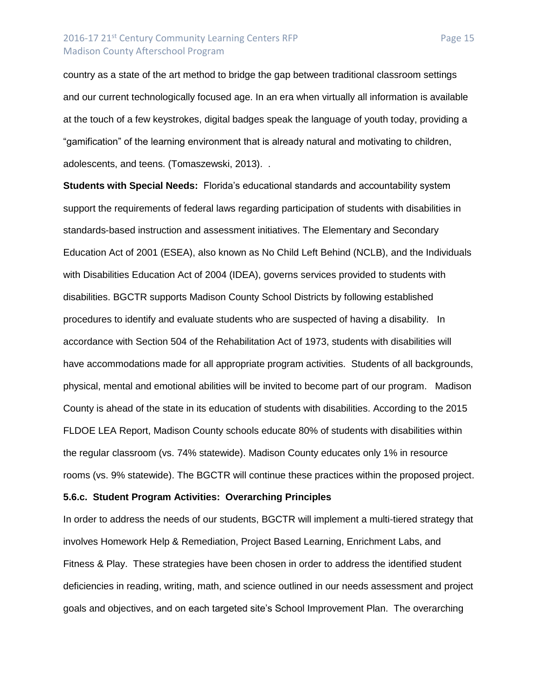## 2016-17 21<sup>st</sup> Century Community Learning Centers RFP Page 15 Madison County Afterschool Program

country as a state of the art method to bridge the gap between traditional classroom settings and our current technologically focused age. In an era when virtually all information is available at the touch of a few keystrokes, digital badges speak the language of youth today, providing a "gamification" of the learning environment that is already natural and motivating to children, adolescents, and teens. (Tomaszewski, 2013). .

**Students with Special Needs:** Florida's educational standards and accountability system support the requirements of federal laws regarding participation of students with disabilities in standards-based instruction and assessment initiatives. The Elementary and Secondary Education Act of 2001 (ESEA), also known as No Child Left Behind (NCLB), and the Individuals with Disabilities Education Act of 2004 (IDEA), governs services provided to students with disabilities. BGCTR supports Madison County School Districts by following established procedures to identify and evaluate students who are suspected of having a disability. In accordance with Section 504 of the Rehabilitation Act of 1973, students with disabilities will have accommodations made for all appropriate program activities. Students of all backgrounds, physical, mental and emotional abilities will be invited to become part of our program. Madison County is ahead of the state in its education of students with disabilities. According to the 2015 FLDOE LEA Report, Madison County schools educate 80% of students with disabilities within the regular classroom (vs. 74% statewide). Madison County educates only 1% in resource rooms (vs. 9% statewide). The BGCTR will continue these practices within the proposed project.

#### **5.6.c. Student Program Activities: Overarching Principles**

In order to address the needs of our students, BGCTR will implement a multi-tiered strategy that involves Homework Help & Remediation, Project Based Learning, Enrichment Labs, and Fitness & Play. These strategies have been chosen in order to address the identified student deficiencies in reading, writing, math, and science outlined in our needs assessment and project goals and objectives, and on each targeted site's School Improvement Plan. The overarching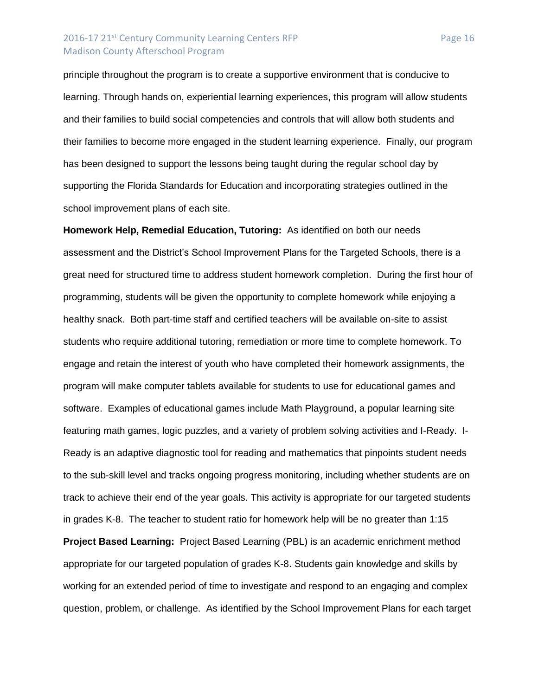# 2016-17 21<sup>st</sup> Century Community Learning Centers RFP Page 16 Madison County Afterschool Program

principle throughout the program is to create a supportive environment that is conducive to learning. Through hands on, experiential learning experiences, this program will allow students and their families to build social competencies and controls that will allow both students and their families to become more engaged in the student learning experience. Finally, our program has been designed to support the lessons being taught during the regular school day by supporting the Florida Standards for Education and incorporating strategies outlined in the school improvement plans of each site.

**Homework Help, Remedial Education, Tutoring:** As identified on both our needs assessment and the District's School Improvement Plans for the Targeted Schools, there is a great need for structured time to address student homework completion. During the first hour of programming, students will be given the opportunity to complete homework while enjoying a healthy snack. Both part-time staff and certified teachers will be available on-site to assist students who require additional tutoring, remediation or more time to complete homework. To engage and retain the interest of youth who have completed their homework assignments, the program will make computer tablets available for students to use for educational games and software. Examples of educational games include Math Playground, a popular learning site featuring math games, logic puzzles, and a variety of problem solving activities and I-Ready. I-Ready is an adaptive diagnostic tool for reading and mathematics that pinpoints student needs to the sub-skill level and tracks ongoing progress monitoring, including whether students are on track to achieve their end of the year goals. This activity is appropriate for our targeted students in grades K-8. The teacher to student ratio for homework help will be no greater than 1:15 **Project Based Learning:** Project Based Learning (PBL) is an academic enrichment method appropriate for our targeted population of grades K-8. Students gain knowledge and skills by working for an extended period of time to investigate and respond to an engaging and complex question, problem, or challenge. As identified by the School Improvement Plans for each target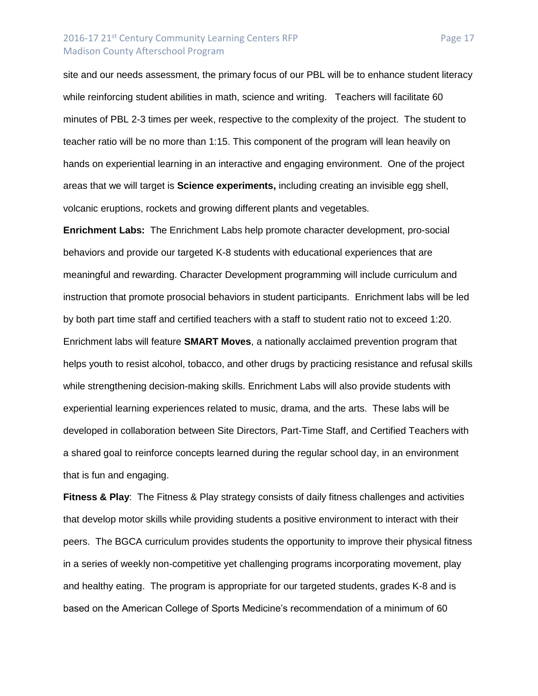## 2016-17 21<sup>st</sup> Century Community Learning Centers RFP Page 17 Madison County Afterschool Program

site and our needs assessment, the primary focus of our PBL will be to enhance student literacy while reinforcing student abilities in math, science and writing. Teachers will facilitate 60 minutes of PBL 2-3 times per week, respective to the complexity of the project. The student to teacher ratio will be no more than 1:15. This component of the program will lean heavily on hands on experiential learning in an interactive and engaging environment. One of the project areas that we will target is **Science experiments,** including creating an invisible egg shell, volcanic eruptions, rockets and growing different plants and vegetables.

**Enrichment Labs:** The Enrichment Labs help promote character development, pro-social behaviors and provide our targeted K-8 students with educational experiences that are meaningful and rewarding. Character Development programming will include curriculum and instruction that promote prosocial behaviors in student participants. Enrichment labs will be led by both part time staff and certified teachers with a staff to student ratio not to exceed 1:20. Enrichment labs will feature **SMART Moves**, a nationally acclaimed prevention program that helps youth to resist alcohol, tobacco, and other drugs by practicing resistance and refusal skills while strengthening decision-making skills. Enrichment Labs will also provide students with experiential learning experiences related to music, drama, and the arts. These labs will be developed in collaboration between Site Directors, Part-Time Staff, and Certified Teachers with a shared goal to reinforce concepts learned during the regular school day, in an environment that is fun and engaging.

**Fitness & Play**: The Fitness & Play strategy consists of daily fitness challenges and activities that develop motor skills while providing students a positive environment to interact with their peers. The BGCA curriculum provides students the opportunity to improve their physical fitness in a series of weekly non-competitive yet challenging programs incorporating movement, play and healthy eating. The program is appropriate for our targeted students, grades K-8 and is based on the American College of Sports Medicine's recommendation of a minimum of 60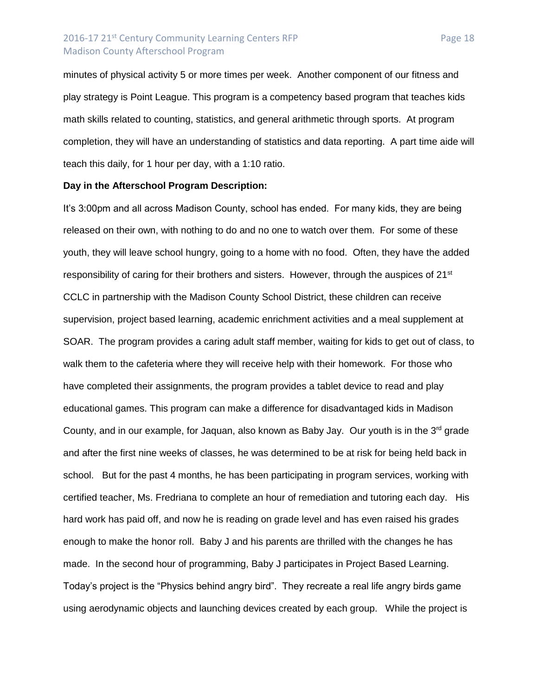# 2016-17 21<sup>st</sup> Century Community Learning Centers RFP Page 18 Madison County Afterschool Program

minutes of physical activity 5 or more times per week. Another component of our fitness and play strategy is Point League. This program is a competency based program that teaches kids math skills related to counting, statistics, and general arithmetic through sports. At program completion, they will have an understanding of statistics and data reporting. A part time aide will teach this daily, for 1 hour per day, with a 1:10 ratio.

#### **Day in the Afterschool Program Description:**

It's 3:00pm and all across Madison County, school has ended. For many kids, they are being released on their own, with nothing to do and no one to watch over them. For some of these youth, they will leave school hungry, going to a home with no food. Often, they have the added responsibility of caring for their brothers and sisters. However, through the auspices of 21<sup>st</sup> CCLC in partnership with the Madison County School District, these children can receive supervision, project based learning, academic enrichment activities and a meal supplement at SOAR. The program provides a caring adult staff member, waiting for kids to get out of class, to walk them to the cafeteria where they will receive help with their homework. For those who have completed their assignments, the program provides a tablet device to read and play educational games. This program can make a difference for disadvantaged kids in Madison County, and in our example, for Jaquan, also known as Baby Jay. Our youth is in the  $3<sup>rd</sup>$  grade and after the first nine weeks of classes, he was determined to be at risk for being held back in school. But for the past 4 months, he has been participating in program services, working with certified teacher, Ms. Fredriana to complete an hour of remediation and tutoring each day. His hard work has paid off, and now he is reading on grade level and has even raised his grades enough to make the honor roll. Baby J and his parents are thrilled with the changes he has made. In the second hour of programming, Baby J participates in Project Based Learning. Today's project is the "Physics behind angry bird". They recreate a real life angry birds game using aerodynamic objects and launching devices created by each group. While the project is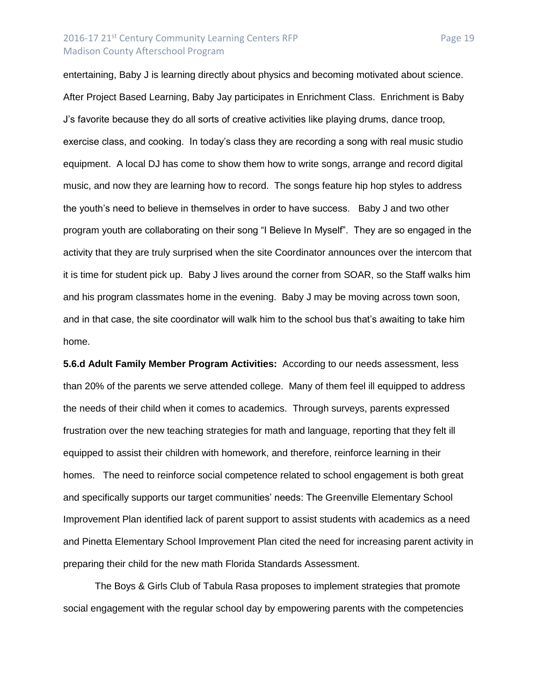### 2016-17 21<sup>st</sup> Century Community Learning Centers RFP Page 19 Madison County Afterschool Program

entertaining, Baby J is learning directly about physics and becoming motivated about science. After Project Based Learning, Baby Jay participates in Enrichment Class. Enrichment is Baby J's favorite because they do all sorts of creative activities like playing drums, dance troop, exercise class, and cooking. In today's class they are recording a song with real music studio equipment. A local DJ has come to show them how to write songs, arrange and record digital music, and now they are learning how to record. The songs feature hip hop styles to address the youth's need to believe in themselves in order to have success. Baby J and two other program youth are collaborating on their song "I Believe In Myself". They are so engaged in the activity that they are truly surprised when the site Coordinator announces over the intercom that it is time for student pick up. Baby J lives around the corner from SOAR, so the Staff walks him and his program classmates home in the evening. Baby J may be moving across town soon, and in that case, the site coordinator will walk him to the school bus that's awaiting to take him

home.

**5.6.d Adult Family Member Program Activities:** According to our needs assessment, less than 20% of the parents we serve attended college. Many of them feel ill equipped to address the needs of their child when it comes to academics. Through surveys, parents expressed frustration over the new teaching strategies for math and language, reporting that they felt ill equipped to assist their children with homework, and therefore, reinforce learning in their homes. The need to reinforce social competence related to school engagement is both great and specifically supports our target communities' needs: The Greenville Elementary School Improvement Plan identified lack of parent support to assist students with academics as a need and Pinetta Elementary School Improvement Plan cited the need for increasing parent activity in preparing their child for the new math Florida Standards Assessment.

The Boys & Girls Club of Tabula Rasa proposes to implement strategies that promote social engagement with the regular school day by empowering parents with the competencies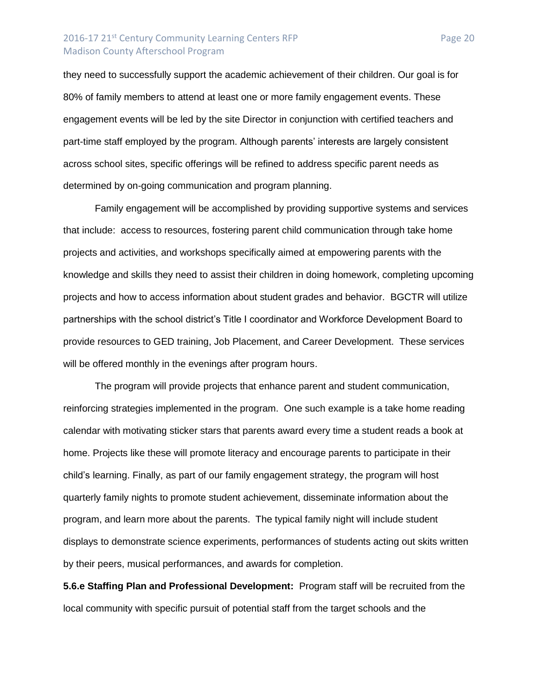# 2016-17 21<sup>st</sup> Century Community Learning Centers RFP Page 20 Madison County Afterschool Program

they need to successfully support the academic achievement of their children. Our goal is for 80% of family members to attend at least one or more family engagement events. These engagement events will be led by the site Director in conjunction with certified teachers and part-time staff employed by the program. Although parents' interests are largely consistent across school sites, specific offerings will be refined to address specific parent needs as determined by on-going communication and program planning.

Family engagement will be accomplished by providing supportive systems and services that include: access to resources, fostering parent child communication through take home projects and activities, and workshops specifically aimed at empowering parents with the knowledge and skills they need to assist their children in doing homework, completing upcoming projects and how to access information about student grades and behavior. BGCTR will utilize partnerships with the school district's Title I coordinator and Workforce Development Board to provide resources to GED training, Job Placement, and Career Development. These services will be offered monthly in the evenings after program hours.

The program will provide projects that enhance parent and student communication, reinforcing strategies implemented in the program. One such example is a take home reading calendar with motivating sticker stars that parents award every time a student reads a book at home. Projects like these will promote literacy and encourage parents to participate in their child's learning. Finally, as part of our family engagement strategy, the program will host quarterly family nights to promote student achievement, disseminate information about the program, and learn more about the parents. The typical family night will include student displays to demonstrate science experiments, performances of students acting out skits written by their peers, musical performances, and awards for completion.

**5.6.e Staffing Plan and Professional Development:** Program staff will be recruited from the local community with specific pursuit of potential staff from the target schools and the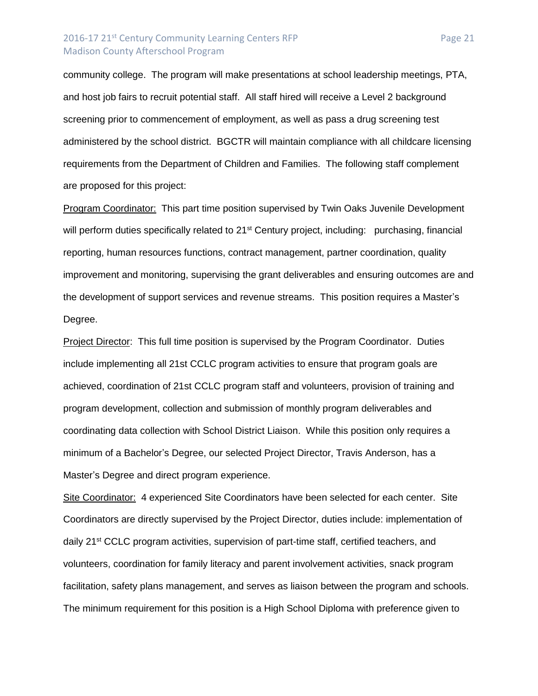# 2016-17 21<sup>st</sup> Century Community Learning Centers RFP Page 21 Madison County Afterschool Program

community college. The program will make presentations at school leadership meetings, PTA, and host job fairs to recruit potential staff. All staff hired will receive a Level 2 background screening prior to commencement of employment, as well as pass a drug screening test administered by the school district. BGCTR will maintain compliance with all childcare licensing requirements from the Department of Children and Families. The following staff complement are proposed for this project:

Program Coordinator: This part time position supervised by Twin Oaks Juvenile Development will perform duties specifically related to 21<sup>st</sup> Century project, including: purchasing, financial reporting, human resources functions, contract management, partner coordination, quality improvement and monitoring, supervising the grant deliverables and ensuring outcomes are and the development of support services and revenue streams. This position requires a Master's Degree.

Project Director: This full time position is supervised by the Program Coordinator. Duties include implementing all 21st CCLC program activities to ensure that program goals are achieved, coordination of 21st CCLC program staff and volunteers, provision of training and program development, collection and submission of monthly program deliverables and coordinating data collection with School District Liaison. While this position only requires a minimum of a Bachelor's Degree, our selected Project Director, Travis Anderson, has a Master's Degree and direct program experience.

Site Coordinator: 4 experienced Site Coordinators have been selected for each center. Site Coordinators are directly supervised by the Project Director, duties include: implementation of daily 21<sup>st</sup> CCLC program activities, supervision of part-time staff, certified teachers, and volunteers, coordination for family literacy and parent involvement activities, snack program facilitation, safety plans management, and serves as liaison between the program and schools. The minimum requirement for this position is a High School Diploma with preference given to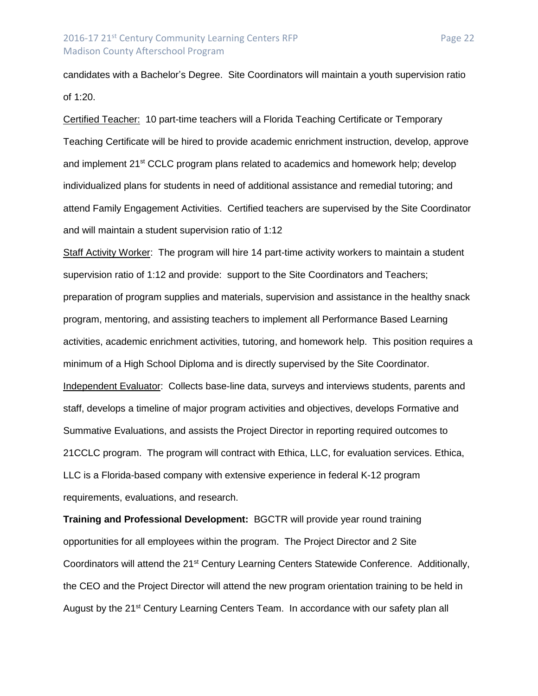candidates with a Bachelor's Degree. Site Coordinators will maintain a youth supervision ratio of 1:20.

Certified Teacher: 10 part-time teachers will a Florida Teaching Certificate or Temporary Teaching Certificate will be hired to provide academic enrichment instruction, develop, approve and implement 21<sup>st</sup> CCLC program plans related to academics and homework help; develop individualized plans for students in need of additional assistance and remedial tutoring; and attend Family Engagement Activities. Certified teachers are supervised by the Site Coordinator and will maintain a student supervision ratio of 1:12

Staff Activity Worker: The program will hire 14 part-time activity workers to maintain a student supervision ratio of 1:12 and provide: support to the Site Coordinators and Teachers; preparation of program supplies and materials, supervision and assistance in the healthy snack program, mentoring, and assisting teachers to implement all Performance Based Learning activities, academic enrichment activities, tutoring, and homework help. This position requires a minimum of a High School Diploma and is directly supervised by the Site Coordinator. Independent Evaluator: Collects base-line data, surveys and interviews students, parents and staff, develops a timeline of major program activities and objectives, develops Formative and Summative Evaluations, and assists the Project Director in reporting required outcomes to 21CCLC program. The program will contract with Ethica, LLC, for evaluation services. Ethica, LLC is a Florida-based company with extensive experience in federal K-12 program requirements, evaluations, and research.

**Training and Professional Development:** BGCTR will provide year round training opportunities for all employees within the program. The Project Director and 2 Site Coordinators will attend the 21<sup>st</sup> Century Learning Centers Statewide Conference. Additionally, the CEO and the Project Director will attend the new program orientation training to be held in August by the 21<sup>st</sup> Century Learning Centers Team. In accordance with our safety plan all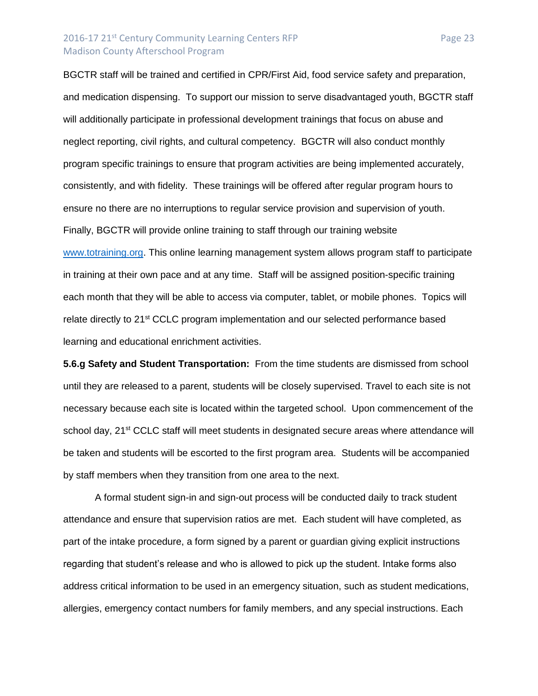## 2016-17 21<sup>st</sup> Century Community Learning Centers RFP Page 23 Madison County Afterschool Program

BGCTR staff will be trained and certified in CPR/First Aid, food service safety and preparation, and medication dispensing. To support our mission to serve disadvantaged youth, BGCTR staff will additionally participate in professional development trainings that focus on abuse and neglect reporting, civil rights, and cultural competency. BGCTR will also conduct monthly program specific trainings to ensure that program activities are being implemented accurately, consistently, and with fidelity. These trainings will be offered after regular program hours to ensure no there are no interruptions to regular service provision and supervision of youth. Finally, BGCTR will provide online training to staff through our training website [www.totraining.org.](http://www.totraining.org/) This online learning management system allows program staff to participate in training at their own pace and at any time. Staff will be assigned position-specific training each month that they will be able to access via computer, tablet, or mobile phones. Topics will relate directly to 21<sup>st</sup> CCLC program implementation and our selected performance based

learning and educational enrichment activities.

**5.6.g Safety and Student Transportation:** From the time students are dismissed from school until they are released to a parent, students will be closely supervised. Travel to each site is not necessary because each site is located within the targeted school. Upon commencement of the school day, 21<sup>st</sup> CCLC staff will meet students in designated secure areas where attendance will be taken and students will be escorted to the first program area. Students will be accompanied by staff members when they transition from one area to the next.

A formal student sign-in and sign-out process will be conducted daily to track student attendance and ensure that supervision ratios are met. Each student will have completed, as part of the intake procedure, a form signed by a parent or guardian giving explicit instructions regarding that student's release and who is allowed to pick up the student. Intake forms also address critical information to be used in an emergency situation, such as student medications, allergies, emergency contact numbers for family members, and any special instructions. Each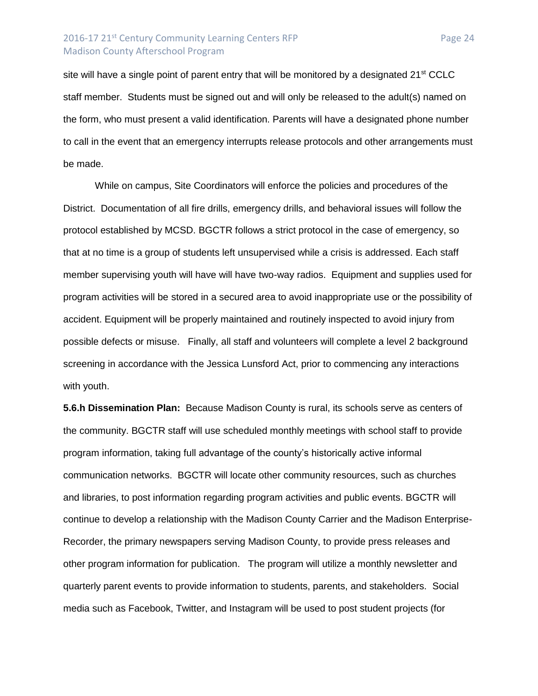# 2016-17 21<sup>st</sup> Century Community Learning Centers RFP Page 24 Madison County Afterschool Program

site will have a single point of parent entry that will be monitored by a designated  $21<sup>st</sup> CCLC$ staff member. Students must be signed out and will only be released to the adult(s) named on the form, who must present a valid identification. Parents will have a designated phone number to call in the event that an emergency interrupts release protocols and other arrangements must be made.

While on campus, Site Coordinators will enforce the policies and procedures of the District. Documentation of all fire drills, emergency drills, and behavioral issues will follow the protocol established by MCSD. BGCTR follows a strict protocol in the case of emergency, so that at no time is a group of students left unsupervised while a crisis is addressed. Each staff member supervising youth will have will have two-way radios. Equipment and supplies used for program activities will be stored in a secured area to avoid inappropriate use or the possibility of accident. Equipment will be properly maintained and routinely inspected to avoid injury from possible defects or misuse. Finally, all staff and volunteers will complete a level 2 background screening in accordance with the Jessica Lunsford Act, prior to commencing any interactions with youth.

**5.6.h Dissemination Plan:** Because Madison County is rural, its schools serve as centers of the community. BGCTR staff will use scheduled monthly meetings with school staff to provide program information, taking full advantage of the county's historically active informal communication networks. BGCTR will locate other community resources, such as churches and libraries, to post information regarding program activities and public events. BGCTR will continue to develop a relationship with the Madison County Carrier and the Madison Enterprise-Recorder, the primary newspapers serving Madison County, to provide press releases and other program information for publication. The program will utilize a monthly newsletter and quarterly parent events to provide information to students, parents, and stakeholders. Social media such as Facebook, Twitter, and Instagram will be used to post student projects (for